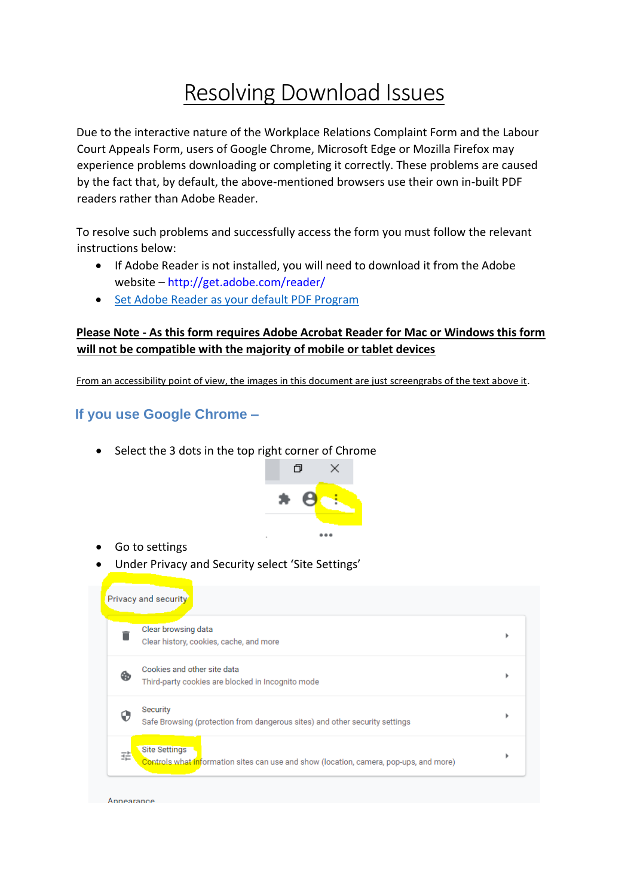# Resolving Download Issues

Due to the interactive nature of the Workplace Relations Complaint Form and the Labour Court Appeals Form, users of Google Chrome, Microsoft Edge or Mozilla Firefox may experience problems downloading or completing it correctly. These problems are caused by the fact that, by default, the above-mentioned browsers use their own in-built PDF readers rather than Adobe Reader.

To resolve such problems and successfully access the form you must follow the relevant instructions below:

- If Adobe Reader is not installed, you will need to download it from the Adobe website – http://get.adobe.com/reader/
- [Set Adobe Reader as your default PDF Program](https://helpx.adobe.com/ie/acrobat/kb/not-default-pdf-owner-windows10.html)

### **Please Note - As this form requires Adobe Acrobat Reader for Mac or Windows this form will not be compatible with the majority of mobile or tablet devices**

From an accessibility point of view, the images in this document are just screengrabs of the text above it.

## **If you use Google Chrome –**

• Select the 3 dots in the top right corner of Chrome



- Go to settings
- Under Privacy and Security select 'Site Settings'

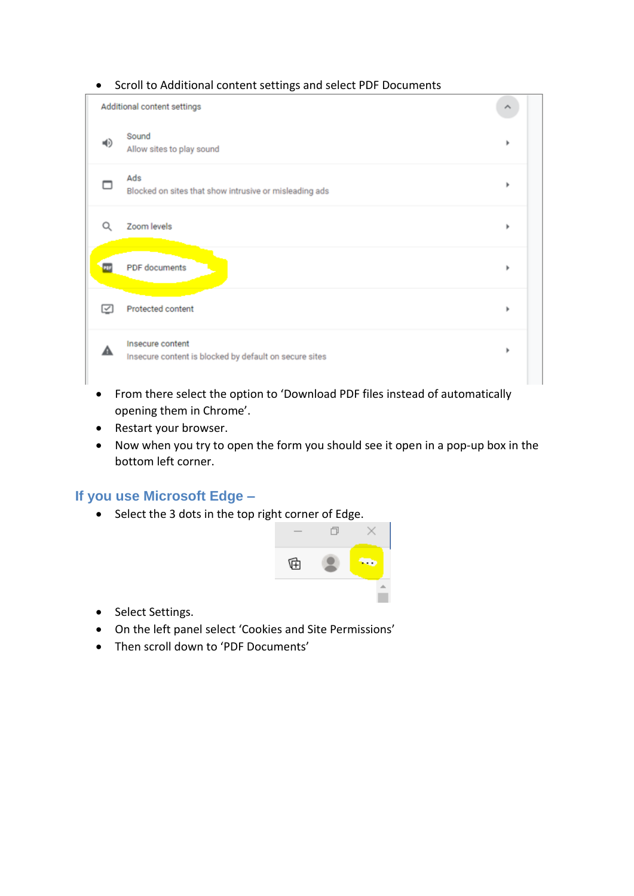#### • Scroll to Additional content settings and select PDF Documents

|    | Additional content settings                                                |   |
|----|----------------------------------------------------------------------------|---|
| 响り | Sound<br>Allow sites to play sound                                         |   |
|    | Ads<br>Blocked on sites that show intrusive or misleading ads              | ٠ |
| Q  | Zoom levels                                                                | ь |
|    | PDF documents                                                              | ь |
| ⊵  | Protected content                                                          | ٠ |
| А  | Insecure content<br>Insecure content is blocked by default on secure sites | ٠ |

- From there select the option to 'Download PDF files instead of automatically opening them in Chrome'.
- Restart your browser.
- Now when you try to open the form you should see it open in a pop-up box in the bottom left corner.

## **If you use Microsoft Edge –**

• Select the 3 dots in the top right corner of Edge.



- Select Settings.
- On the left panel select 'Cookies and Site Permissions'
- Then scroll down to 'PDF Documents'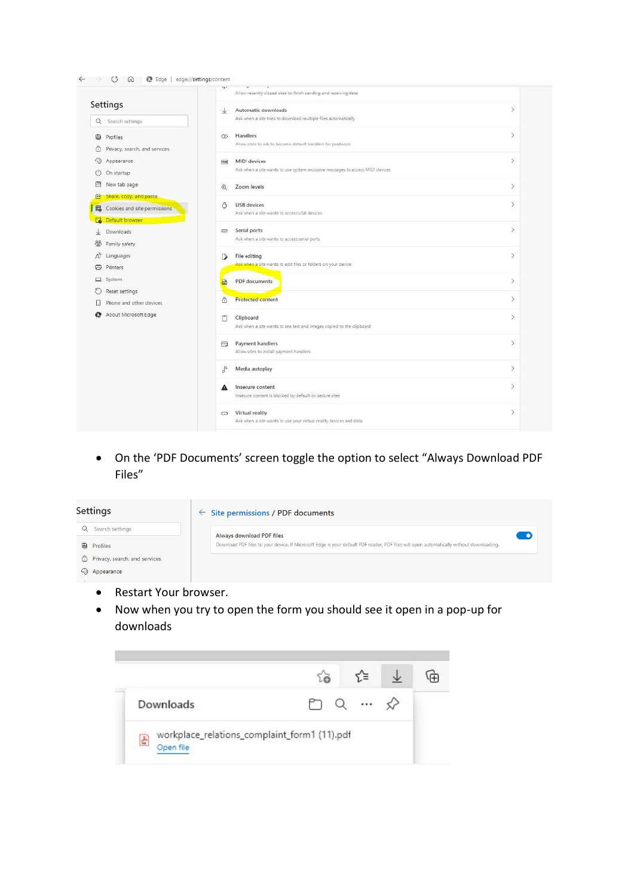|                                    | w<br>Allow recently closed sites to finish sending and receiving data        |               |
|------------------------------------|------------------------------------------------------------------------------|---------------|
| Settings                           | Automatic downloads<br>$\downarrow$                                          | э             |
| Q Search settings                  | Ask when a site tries to download multiple files automatically               |               |
| 8<br>Profiles                      | Handlers<br>$\infty$                                                         | $\mathcal{P}$ |
| Privacy, search, and services<br>⊙ | Allow sites to ask to become default handlers for protocols                  |               |
| 9<br>Appearance                    | MIDI devices<br>$\left  \vec{m} \right $                                     | $\mathcal{P}$ |
| Ö<br>On startup                    | Ask when a site wants to use system exclusive messages to access MIDI dences |               |
| 圖<br>New tab page                  | Zoom levels<br>$^{\circ}$                                                    | $\mathcal{I}$ |
| Share, copy, and paste<br>В        |                                                                              |               |
| Cookies and site permissions<br>屁  | <b>USB</b> devices<br>ō<br>Ask when a site wants to access USB devices       | Y.            |
| C.<br>Default browser              |                                                                              |               |
| 业<br>Downloads                     | Serial ports<br>CD.                                                          | $\mathcal{P}$ |
| 뿡<br>Family safety                 | Ask when a site wants to access serial ports                                 |               |
| Ř<br>Languages                     | File editing<br>Э                                                            | D)            |
| Printers<br>Θ                      | Ask when a site wants to edit files or folders on your device                |               |
| D System                           | PDF documents<br>區                                                           | $\geq$        |
| O<br>Reset settings                |                                                                              |               |
| Phone and other devices<br>U       | Protected content<br>ô                                                       | $\mathcal{I}$ |
| About Microsoft Edge<br>e          | $\Box$<br>Clipboard                                                          | ž.            |
|                                    | Ask when a site wants to see text and images copied to the clipboard         |               |
|                                    | Payment handlers<br>⊟                                                        | $\geq$        |
|                                    | Allow sites to install payment handlers                                      |               |
|                                    | Media autoplay<br>$\sigma^{\rm D}$                                           | $\mathcal{P}$ |
|                                    | Insecure content<br>А                                                        | X             |
|                                    | Insecure content is blocked by default on secure sites                       |               |
|                                    | Virtual reality<br>ಾ                                                         | $\geq$        |
|                                    | Ask when a site wants to use your virtual reality devices and data           |               |

• On the 'PDF Documents' screen toggle the option to select "Always Download PDF Files"

| <b>Settings</b>                 | $\leftarrow$ Site permissions / PDF documents                                                                                           |
|---------------------------------|-----------------------------------------------------------------------------------------------------------------------------------------|
| Search settings                 | Always download PDF files                                                                                                               |
| <sup>3</sup> Profiles           | Download PDF files to your device. If Microsoft Edge is your default PDF reader, PDF files will open automatically without downloading. |
| ि Privacy, search, and services |                                                                                                                                         |
| hpearance                       |                                                                                                                                         |

- Restart Your browser.
- Now when you try to open the form you should see it open in a pop-up for downloads

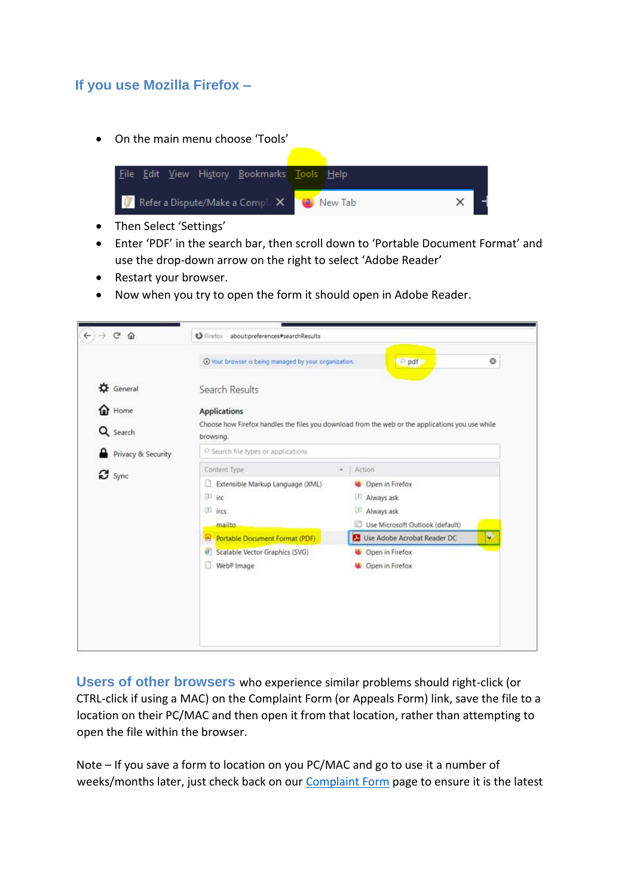## **If you use Mozilla Firefox –**

• On the main menu choose 'Tools'



- Then Select 'Settings'
- Enter 'PDF' in the search bar, then scroll down to 'Portable Document Format' and use the drop-down arrow on the right to select 'Adobe Reader'
- Restart your browser.
- Now when you try to open the form it should open in Adobe Reader.

|                                 | 1 Your browser is being managed by your organization.                                                         | pat<br>o                                                         |  |  |
|---------------------------------|---------------------------------------------------------------------------------------------------------------|------------------------------------------------------------------|--|--|
| $\alpha$ General                | Search Results                                                                                                |                                                                  |  |  |
| <sup>t</sup> Home               | <b>Applications</b>                                                                                           |                                                                  |  |  |
| Q Search                        | Choose how Firefox handles the files you download from the web or the applications you use while<br>browsing. |                                                                  |  |  |
| Privacy & Security              | P Search file types or applications                                                                           |                                                                  |  |  |
| $\boldsymbol{\mathcal{C}}$ sync | Content Type                                                                                                  | Action<br>×.                                                     |  |  |
|                                 | Extensible Markup Language (XML)<br>m                                                                         | Open in Firefox                                                  |  |  |
|                                 | <sup>(i)</sup> irc                                                                                            | Always ask                                                       |  |  |
|                                 | <sup>[2]</sup> ircs                                                                                           | Always ask                                                       |  |  |
|                                 | mailto                                                                                                        | Use Microsoft Outlook (default)                                  |  |  |
|                                 | <b>A</b> Portable Document Format (PDF)                                                                       | $\overline{\phantom{a}}$<br><b>D</b> Use Adobe Acrobat Reader DC |  |  |
|                                 | a<br>Scalable Vector Graphics (SVG)                                                                           | Open in Firefox                                                  |  |  |
|                                 | WebP Image                                                                                                    | Open in Firefox                                                  |  |  |

**Users of other browsers** who experience similar problems should right-click (or CTRL-click if using a MAC) on the Complaint Form (or Appeals Form) link, save the file to a location on their PC/MAC and then open it from that location, rather than attempting to open the file within the browser.

Note – If you save a form to location on you PC/MAC and go to use it a number of weeks/months later, just check back on our [Complaint Form](https://www.workplacerelations.ie/en/e-complaint_form/) page to ensure it is the latest